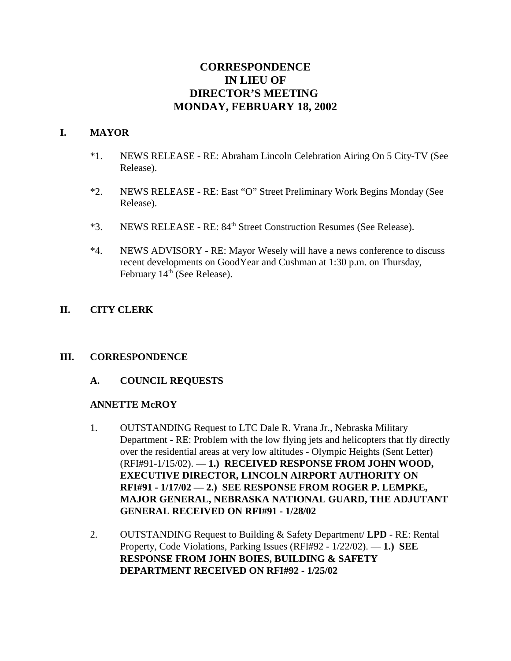# **CORRESPONDENCE IN LIEU OF DIRECTOR'S MEETING MONDAY, FEBRUARY 18, 2002**

#### **I. MAYOR**

- \*1. NEWS RELEASE RE: Abraham Lincoln Celebration Airing On 5 City-TV (See Release).
- \*2. NEWS RELEASE RE: East "O" Street Preliminary Work Begins Monday (See Release).
- \*3. NEWS RELEASE RE: 84th Street Construction Resumes (See Release).
- \*4. NEWS ADVISORY RE: Mayor Wesely will have a news conference to discuss recent developments on GoodYear and Cushman at 1:30 p.m. on Thursday, February  $14<sup>th</sup>$  (See Release).

# **II. CITY CLERK**

# **III. CORRESPONDENCE**

# **A. COUNCIL REQUESTS**

#### **ANNETTE McROY**

- 1. OUTSTANDING Request to LTC Dale R. Vrana Jr., Nebraska Military Department - RE: Problem with the low flying jets and helicopters that fly directly over the residential areas at very low altitudes - Olympic Heights (Sent Letter) (RFI#91-1/15/02). — **1.) RECEIVED RESPONSE FROM JOHN WOOD, EXECUTIVE DIRECTOR, LINCOLN AIRPORT AUTHORITY ON RFI#91 - 1/17/02 — 2.) SEE RESPONSE FROM ROGER P. LEMPKE, MAJOR GENERAL, NEBRASKA NATIONAL GUARD, THE ADJUTANT GENERAL RECEIVED ON RFI#91 - 1/28/02**
- 2. OUTSTANDING Request to Building & Safety Department/ **LPD** RE: Rental Property, Code Violations, Parking Issues (RFI#92 - 1/22/02). — **1.) SEE RESPONSE FROM JOHN BOIES, BUILDING & SAFETY DEPARTMENT RECEIVED ON RFI#92 - 1/25/02**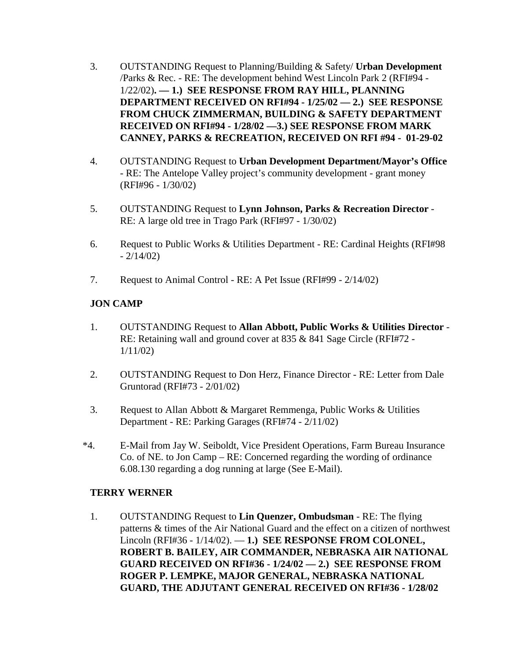- 3. OUTSTANDING Request to Planning/Building & Safety/ **Urban Development** /Parks & Rec. - RE: The development behind West Lincoln Park 2 (RFI#94 - 1/22/02)**. — 1.) SEE RESPONSE FROM RAY HILL, PLANNING DEPARTMENT RECEIVED ON RFI#94 - 1/25/02 — 2.) SEE RESPONSE FROM CHUCK ZIMMERMAN, BUILDING & SAFETY DEPARTMENT RECEIVED ON RFI#94 - 1/28/02 —3.) SEE RESPONSE FROM MARK CANNEY, PARKS & RECREATION, RECEIVED ON RFI #94 - 01-29-02**
- 4. OUTSTANDING Request to **Urban Development Department/Mayor's Office** - RE: The Antelope Valley project's community development - grant money (RFI#96 - 1/30/02)
- 5. OUTSTANDING Request to **Lynn Johnson, Parks & Recreation Director** RE: A large old tree in Trago Park (RFI#97 - 1/30/02)
- 6. Request to Public Works & Utilities Department RE: Cardinal Heights (RFI#98  $-2/14/02$
- 7. Request to Animal Control RE: A Pet Issue (RFI#99 2/14/02)

# **JON CAMP**

- 1. OUTSTANDING Request to **Allan Abbott, Public Works & Utilities Director** RE: Retaining wall and ground cover at 835 & 841 Sage Circle (RFI#72 - 1/11/02)
- 2. OUTSTANDING Request to Don Herz, Finance Director RE: Letter from Dale Gruntorad (RFI#73 - 2/01/02)
- 3. Request to Allan Abbott & Margaret Remmenga, Public Works & Utilities Department - RE: Parking Garages (RFI#74 - 2/11/02)
- \*4. E-Mail from Jay W. Seiboldt, Vice President Operations, Farm Bureau Insurance Co. of NE. to Jon Camp – RE: Concerned regarding the wording of ordinance 6.08.130 regarding a dog running at large (See E-Mail).

#### **TERRY WERNER**

1. OUTSTANDING Request to **Lin Quenzer, Ombudsman** - RE: The flying patterns & times of the Air National Guard and the effect on a citizen of northwest Lincoln (RFI#36 - 1/14/02). — **1.) SEE RESPONSE FROM COLONEL, ROBERT B. BAILEY, AIR COMMANDER, NEBRASKA AIR NATIONAL GUARD RECEIVED ON RFI#36 - 1/24/02 — 2.) SEE RESPONSE FROM ROGER P. LEMPKE, MAJOR GENERAL, NEBRASKA NATIONAL GUARD, THE ADJUTANT GENERAL RECEIVED ON RFI#36 - 1/28/02**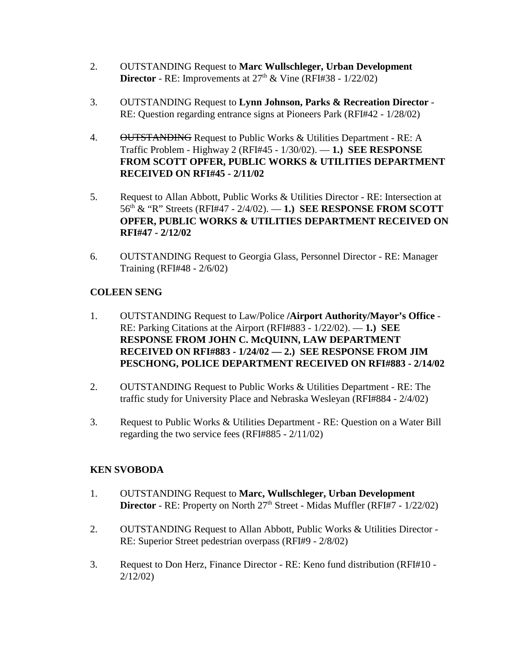- 2. OUTSTANDING Request to **Marc Wullschleger, Urban Development Director** - RE: Improvements at  $27<sup>th</sup>$  & Vine (RFI#38 -  $1/22/02$ )
- 3. OUTSTANDING Request to **Lynn Johnson, Parks & Recreation Director** RE: Question regarding entrance signs at Pioneers Park (RFI#42 - 1/28/02)
- 4. OUTSTANDING Request to Public Works & Utilities Department RE: A Traffic Problem - Highway 2 (RFI#45 - 1/30/02). — **1.) SEE RESPONSE FROM SCOTT OPFER, PUBLIC WORKS & UTILITIES DEPARTMENT RECEIVED ON RFI#45 - 2/11/02**
- 5. Request to Allan Abbott, Public Works & Utilities Director RE: Intersection at 56th & "R" Streets (RFI#47 - 2/4/02). — **1.) SEE RESPONSE FROM SCOTT OPFER, PUBLIC WORKS & UTILITIES DEPARTMENT RECEIVED ON RFI#47 - 2/12/02**
- 6. OUTSTANDING Request to Georgia Glass, Personnel Director RE: Manager Training (RFI#48 - 2/6/02)

# **COLEEN SENG**

- 1. OUTSTANDING Request to Law/Police **/Airport Authority/Mayor's Office** RE: Parking Citations at the Airport (RFI#883 - 1/22/02). — **1.) SEE RESPONSE FROM JOHN C. McQUINN, LAW DEPARTMENT RECEIVED ON RFI#883 - 1/24/02 — 2.) SEE RESPONSE FROM JIM PESCHONG, POLICE DEPARTMENT RECEIVED ON RFI#883 - 2/14/02**
- 2. OUTSTANDING Request to Public Works & Utilities Department RE: The traffic study for University Place and Nebraska Wesleyan (RFI#884 - 2/4/02)
- 3. Request to Public Works & Utilities Department RE: Question on a Water Bill regarding the two service fees (RFI#885 - 2/11/02)

# **KEN SVOBODA**

- 1. OUTSTANDING Request to **Marc, Wullschleger, Urban Development Director** - RE: Property on North 27<sup>th</sup> Street - Midas Muffler (RFI#7 - 1/22/02)
- 2. OUTSTANDING Request to Allan Abbott, Public Works & Utilities Director RE: Superior Street pedestrian overpass (RFI#9 - 2/8/02)
- 3. Request to Don Herz, Finance Director RE: Keno fund distribution (RFI#10 2/12/02)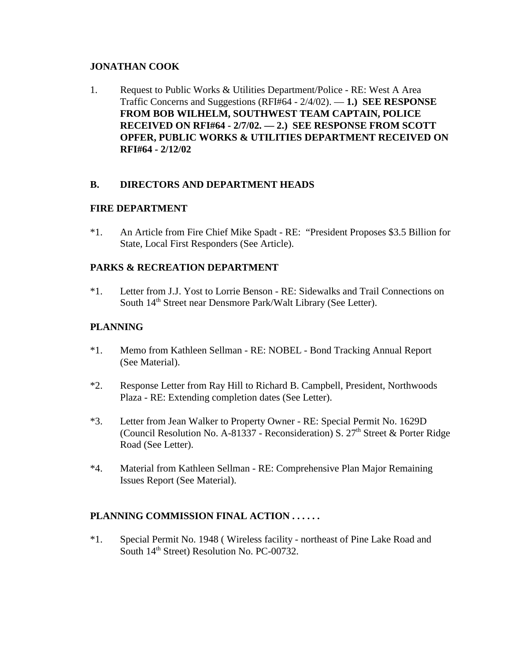### **JONATHAN COOK**

1. Request to Public Works & Utilities Department/Police - RE: West A Area Traffic Concerns and Suggestions (RFI#64 - 2/4/02). — **1.) SEE RESPONSE FROM BOB WILHELM, SOUTHWEST TEAM CAPTAIN, POLICE RECEIVED ON RFI#64 - 2/7/02. — 2.) SEE RESPONSE FROM SCOTT OPFER, PUBLIC WORKS & UTILITIES DEPARTMENT RECEIVED ON RFI#64 - 2/12/02** 

#### **B. DIRECTORS AND DEPARTMENT HEADS**

#### **FIRE DEPARTMENT**

\*1. An Article from Fire Chief Mike Spadt - RE: "President Proposes \$3.5 Billion for State, Local First Responders (See Article).

#### **PARKS & RECREATION DEPARTMENT**

\*1. Letter from J.J. Yost to Lorrie Benson - RE: Sidewalks and Trail Connections on South 14<sup>th</sup> Street near Densmore Park/Walt Library (See Letter).

### **PLANNING**

- \*1. Memo from Kathleen Sellman RE: NOBEL Bond Tracking Annual Report (See Material).
- \*2. Response Letter from Ray Hill to Richard B. Campbell, President, Northwoods Plaza - RE: Extending completion dates (See Letter).
- \*3. Letter from Jean Walker to Property Owner RE: Special Permit No. 1629D (Council Resolution No. A-81337 - Reconsideration) S.  $27<sup>th</sup>$  Street & Porter Ridge Road (See Letter).
- \*4. Material from Kathleen Sellman RE: Comprehensive Plan Major Remaining Issues Report (See Material).

# **PLANNING COMMISSION FINAL ACTION . . . . . .**

\*1. Special Permit No. 1948 ( Wireless facility - northeast of Pine Lake Road and South 14<sup>th</sup> Street) Resolution No. PC-00732.